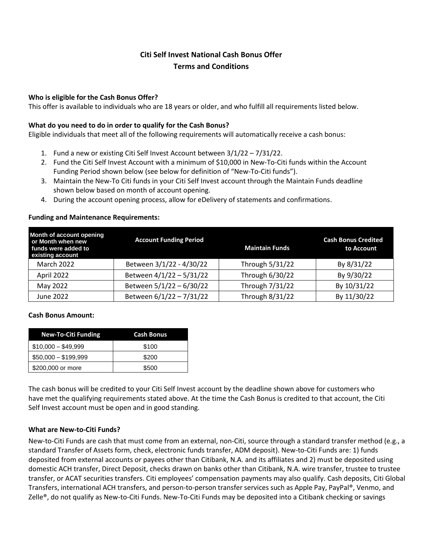# **Citi Self Invest National Cash Bonus Offer Terms and Conditions**

#### **Who is eligible for the Cash Bonus Offer?**

This offer is available to individuals who are 18 years or older, and who fulfill all requirements listed below.

### **What do you need to do in order to qualify for the Cash Bonus?**

Eligible individuals that meet all of the following requirements will automatically receive a cash bonus:

- 1. Fund a new or existing Citi Self Invest Account between 3/1/22 7/31/22.
- 2. Fund the Citi Self Invest Account with a minimum of \$10,000 in New-To-Citi funds within the Account Funding Period shown below (see below for definition of "New-To-Citi funds").
- 3. Maintain the New-To Citi funds in your Citi Self Invest account through the Maintain Funds deadline shown below based on month of account opening.
- 4. During the account opening process, allow for eDelivery of statements and confirmations.

#### **Funding and Maintenance Requirements:**

| Month of account opening<br>or Month when new<br>funds were added to<br>existing account | <b>Account Funding Period</b> | <b>Maintain Funds</b> | <b>Cash Bonus Credited</b><br>to Account |
|------------------------------------------------------------------------------------------|-------------------------------|-----------------------|------------------------------------------|
| March 2022                                                                               | Between 3/1/22 - 4/30/22      | Through 5/31/22       | By 8/31/22                               |
| April 2022                                                                               | Between 4/1/22 - 5/31/22      | Through 6/30/22       | By 9/30/22                               |
| May 2022                                                                                 | Between 5/1/22 - 6/30/22      | Through 7/31/22       | By 10/31/22                              |
| June 2022                                                                                | Between 6/1/22 - 7/31/22      | Through 8/31/22       | By 11/30/22                              |

#### **Cash Bonus Amount:**

| <b>New-To-Citi Funding</b> | Cash Bonus |
|----------------------------|------------|
| $$10,000 - $49,999$        | \$100      |
| $$50,000 - $199,999$       | \$200      |
| \$200,000 or more          | \$500      |

The cash bonus will be credited to your Citi Self Invest account by the deadline shown above for customers who have met the qualifying requirements stated above. At the time the Cash Bonus is credited to that account, the Citi Self Invest account must be open and in good standing.

## **What are New-to-Citi Funds?**

New-to-Citi Funds are cash that must come from an external, non-Citi, source through a standard transfer method (e.g., a standard Transfer of Assets form, check, electronic funds transfer, ADM deposit). New-to-Citi Funds are: 1) funds deposited from external accounts or payees other than Citibank, N.A. and its affiliates and 2) must be deposited using domestic ACH transfer, Direct Deposit, checks drawn on banks other than Citibank, N.A. wire transfer, trustee to trustee transfer, or ACAT securities transfers. Citi employees' compensation payments may also qualify. Cash deposits, Citi Global Transfers, international ACH transfers, and person-to-person transfer services such as Apple Pay, PayPal®, Venmo, and Zelle®, do not qualify as New-to-Citi Funds. New-To-Citi Funds may be deposited into a Citibank checking or savings